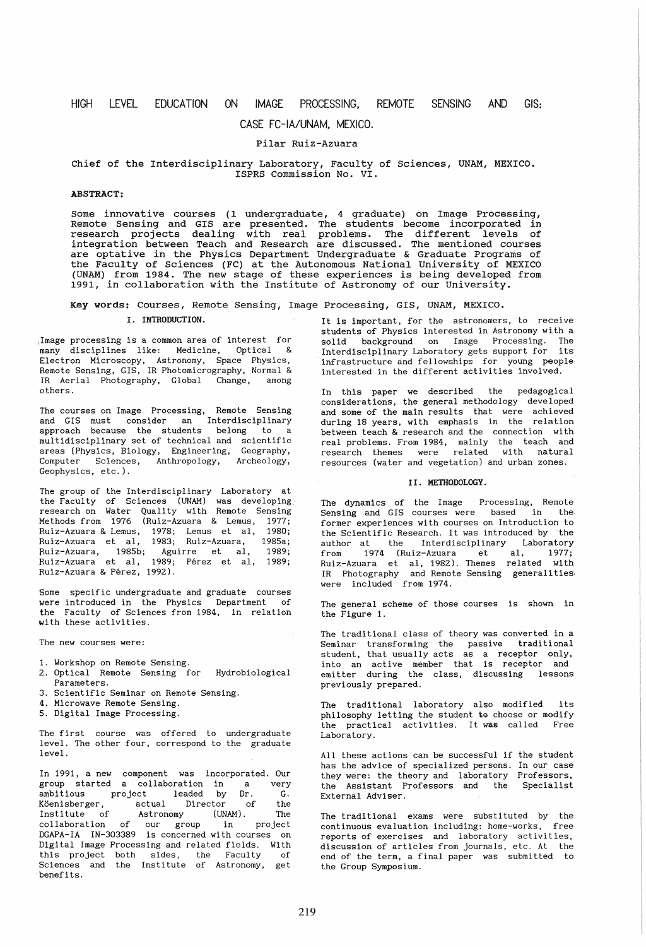# HIGH LEVEL EDUCATION ON IMAGE PROCESSING, REMOTE SENSING AND GIS:

# CASE FC-IA/UNAM, MEXICO.

# Pilar Ruiz-Azuara

#### Chief of the Interdisciplinary Laboratory, Faculty of Sciences, UNAM, MEXICO. ISPRS Commission No. VI.

## ABSTRACT:

Some innovative courses (1 undergraduate, 4 graduate) on Image Processing, Remote Sensing and GIS are presented. The students become incorporated in remove bending and the dre presented inc beddenes asseme instipation in integration between Teach and Research are discussed. The mentioned courses are optative in the Physics Department Undergraduate & Graduate Programs of the Faculty of Sciences (FC) at the Autonomous National University of MEXICO (UNAM) from 1984. The new stage of these experiences is being developed from 1991, in collaboration with the Institute of Astronomy of our University.

### Key words: Courses, Remote Sensing, Image Processing, GIS, UNAM, MEXICO.

#### I. INTRODUCTION.

,Image processing is a common area of interest for many disciplines like: Medicine, Optical & Electron Microscopy, Astronomy, Space Physics, Remote Sensing, GIS, IR Photomicrography. Normal & IR Aerial Photography, Global Change, among others.

The courses on Image Processing, Remote Sensing and GIS must consider an Interdisciplinary approach because the students belong to a multidisciplinary set of technical and scientific areas (Physics, Biology, Engineering, Geography, Computer Sciences, Anthropology, Archeology, Geophysics, etc.).

The group of the Interdisciplinary Laboratory at the Faculty of Sciences (UNAM) was developing· research on Water Quality with Remote Sensing Methods from 1976 (Ruiz-Azuara & Lemus, 1977; Ruiz-Azuara & Lemus, 1978; Lemus et aI, 1980; Ruiz-Azuara et aI, 1983; Ruiz-Azuara, 1985a; ~uiz-Azuara, 1985b; Aguirre et aI, 1989; .<br>Ruiz-Azuara et al, 1989; Pérez et al, 1989; Ruiz-Azuara & Perez, 1992).

Some specific undergraduate and graduate courses were introduced in the Physics Department of the Faculty of Sciences from 1984, in relation with these activities.

The new courses were:

- 1. Workshop on Remote Sensing.
- 2. Optical Remote Sensing for Hydrobiological Parameters.
- 3. Scientific Seminar on Remote Sensing.
- 4. Microwave Remote Sensing.
- 5. Digital Image Processing.

The first course was offered to undergraduate level. The other four, correspond to the graduate level.

In 1991, a new component was incorporated. Our group started a collaboration in a very ambitious project leaded by Dr. G. Köenisberger, actual Director of the Institute of Astronomy (UNAM). The collaboration of our group in project DGAPA-IA IN-303389 is concerned with courses on Digital Image Processing and related fields. With this project both sides, the Faculty of Sciences and the Institute of Astronomy, get benefits.

It is important, for the astronomers, to receive students of Physics interested in Astronomy with a solid background on Image Processing. The Interdisciplinary Laboratory gets support for its infrastructure and fellowships for young people interested in the different activities involved.

In this paper we described the pedagogical considerations, the general methodology developed and some of the main results that were achieved during 18 years, with emphasis in the relation between teach & research and the connection with real problems. From 1984, mainly the teach and research themes were related with natural resources (water and vegetation) and urban zones.

### II. METHODOLOGY.

The dynamics of the Image Processing, Remote Sensing and GIS courses were based in the former experiences with courses on Introduction to the Scientific Research. It was introduced by the author at the Interdisciplinary Laboratory from 1974 (Ruiz-Azuara et al, 1977; Ruiz-Azuara et aI, 1982). Themes related with IR Photography and Remote Sensing generalities, were included from 1974.

The general scheme of those courses is shown in the Figure 1.

The traditional class of theory was converted in a Seminar transforming the passive traditional student, that usually acts as a receptor only, into an active member that is receptor and emitter during the class, discussing lessons previously prepared.

The traditional laboratory also modified its philosophy letting the student to choose or modify the practical activities. It was called Free Laboratory.

All these actions can be successful if the student has the advice of specialized persons. In our case they were: the theory and laboratory Professors, the Assistant Professors and the Specialist External Adviser.

The traditional exams were substituted by the continuous evaluation including: home-works, free reports of exercises and laboratory activities, discussion of articles from journals, etc. At the end of the term, a final paper was submitted to the Group Symposium.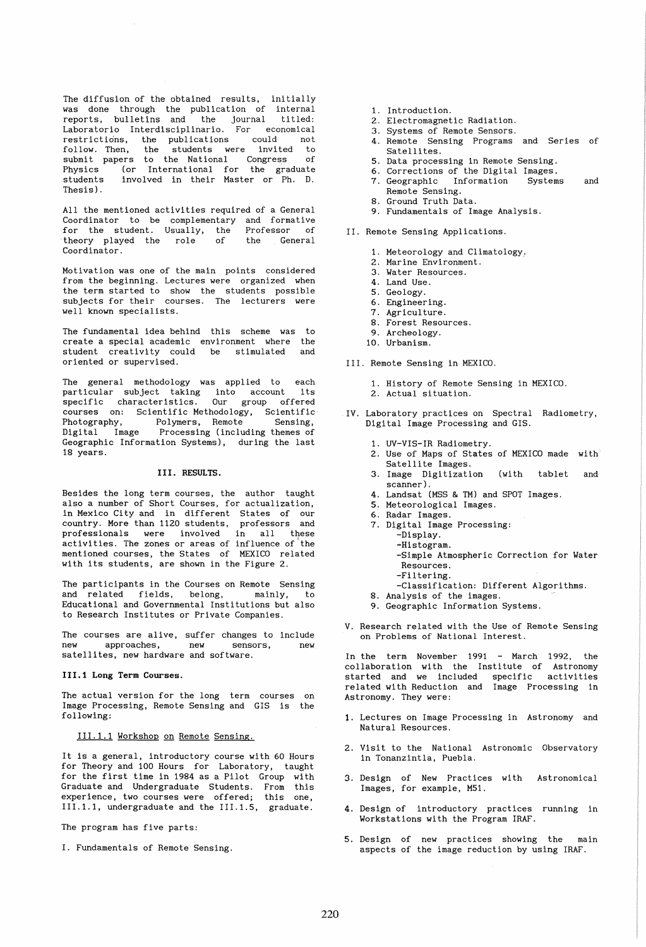The diffusion of the obtained results, initially was done through the publication of internal reports, bulletins and the journal titled: Laboratorio Interdisciplinario. For economical restrictions, the publications could not<br>follow. Then, the students were invited to follow. Then, the submit papers to the National Congress of Physics (or International for the graduate students involved in their Master or Ph. D. Thesis).

All the mentioned activities required of a General Coordinator to be complementary and formative<br>for the student Usually, the Professor of for the student. Usually, the Professor of<br>theory played the role of the General theory played the role Coordinator.

Motivation was one of the main points considered from the beginning. Lectures were organized when the term started to show the students possible subjects for their courses. The lecturers were well known specialists.

The fundamental idea behind this scheme was to create a special academic create a special academic environment where<br>student creativity could be stimulated oriented or supervised. be stimula ted the and

The general methodology was applied to each<br>particular subject taking into account its particular subject taking into account its specific characteristics. courses on: Scientific Methodology, Scientific<br>Photography, Polymers, Remote Sensing, Photography, Polymers, Remote<br>Digital Image Processing(includ Processing (including themes of Geographic Information Systems), during the last 18 years.

### III. RESULTS.

Besides the long term courses, the author taught also a number of Short Courses, for actualization, in Mexico City and in different States of our country. More than 1120 students, professors and<br>professionals were involved in all these activities. The zones or areas of influence of the mentioned courses, the States of MEXICO related with its students, are shown in the Figure 2.

The participants in the Courses on Remote Sensing and related fields, belong, mainly, to and related fields, belong, mainly, to<br>Educational and Governmental Institutions but also to Research Institutes or Private Companies.

The courses are alive, suffer changes to include new approaches, new sensors, new new approaches, new sensors,<br>satellites, new hardware and software.

111.1 Long Term Courses.

The actual version for the long term courses on Image Processing, Remote Sensing and GIS is the following:

111.1.1 Workshop on Remote Sensing.

It is a general, introductory course with 60 Hours for Theory and 100 Hours for Laboratory, taught for the first time in 1984 as a Pilot Group with Graduate and Undergraduate Students. From this experience, two courses were offered; this one, 111.1.1, undergraduate and the 111.1.5, graduate.

The program has five parts:

I. Fundamentals of Remote Sensing.

- 1. Introduction.
- 2. Electromagnetic Radiation.
- 3. Systems of Remote Sensors.
- 4. Remote Sensing Programs and Series of Satellites.
- 5. Data processing in Remote Sensing.
- 6. Corrections of the Digital Images.
- 7. Geographic Information Systems and Remote Sensing.
- 8. Ground Truth Data.
- 9. Fundamentals of Image Analysis.
- II. Remote Sensing Applications.
	- 1. Meteorology and Climatology ..
	- 2. Marine Environment.
	- 3. Water Resources.
	- 4. Land Use.
	- 5. Geology.
	- 6. Engineering.
	- 7. Agriculture.
	- 8. Forest Resources.
	- 9. Archeology.
	- 10. Urbanism.

III. Remote Sensing in MEXICO.

- 1. History of Remote Sensing in MEXICO.
- 2. Actual situation.
- IV. Laboratory practices on Spectral Radiometry, Digital Image Processing and GIS.
	- 1. UV-VIS-IR Radiometry.
	- 2. Use of Maps of States of MEXICO made with Satellite Images.
	- 3. Image Digitization (with tablet and scanner) .
	- 4. Landsat (MSS & TM) and SPOT Images.
	- 5. Meteorological Images.
	- 6. Radar Images.
	- 7. Digital Image Processing:
		- -Display.
		- ~Histogram.
			- -Simple Atmospheric Correction for Water Resources.
			- -Filtering.
		- -Classification: Different Algorithms.
	- 8. Analysis of the images.
	- 9. Geographic Information Systems.
- V. Research related with the Use of Remote Sensing on Problems of National Interest.

1991 - March 1992, the<br>Institute of Astronomy specific activities Image Processing in In the term November collaboration with the started and we included related with Reduction and Astronomy. They were:

- 1. Lectures on Image Processing in Astronomy and Natural Resources.
- 2. Visit to the National Astronomic Observatory in Tonanzintla, Puebla.
- 3. Design of New Practices with Astronomical Images, for example, MS1.
- 4. Design of introductory practices running in Workstations with the Program IRAF.
- 5. Design of new practices showing the main aspects of the image reduction by using IRAF.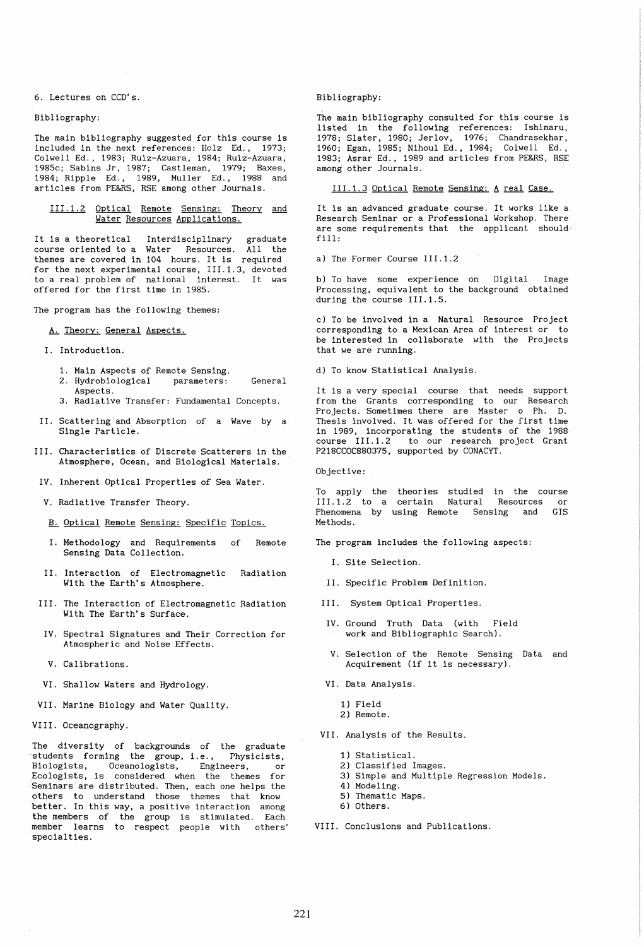6. Lectures on CCD's.

Bibliography:

The main bibliography suggested for this course is included in the next references: Holz Ed., 1973; Colwell Ed., 1983; Ruiz-Azuara, 1984; Ruiz-Azuara, 1985c; Sabins Jr, 1987; Castleman, 1979; Baxes, 1984; Ripple Ed., 1989, Muller Ed., 1988 and articles from PE&RS, RSE among other Journals.

111.1.2 Optical Remote Sensing: Theory and Water Resources Applications.

It is a theoretical Interdisciplinary graduate course oriented to a Water Resources. All the themes are covered in 104 hours. It is required for the next experimental course, III.1.3, devoted to a real problem of national interest. It was offered for the first time in 1985.

The program has the following themes:

A. Theory: General Aspects.

I. Introduction.

- 1. Main Aspects of Remote Sensing.
- 2. Hydrobiological parameters: General Aspects.
- 3. Radiative Transfer: Fundamental Concepts.
- II. Scattering and Absorption of a Wave by a Single Particle.
- III. Characteristics of Discrete Scatterers in the Atmosphere, Ocean, and Biological Materials.
- IV. Inherent Optical Properties of Sea Water.
- V. Radiative Transfer Theory.
- B. Optical Remote Sensing: Specific Topics.
- I. Methodology and Requirements Sensing Data Collection. of Remote
- II. Interaction of Electromagnetic With the Earth's Atmosphere. Radiation
- III. The Interaction of Electromagnetic Radiation With The Earth's Surface.
- IV. Spectral Signatures and Their Correction for Atmospheric and Noise Effects.
- V. Calibrations.
- VI. Shallow Waters and Hydrology.
- VII. Marine Biology and Water Quality.
- VIII. Oceanography.

The diversity of backgrounds of the graduate ·students forming the group, *i.e.,* Physicists, Biologists, Oceanologists, Engineers, or Ecologists, is considered when the themes for Seminars are distributed. Then, each one helps the others to understand those themes that know better. In this way, a positive interaction among the members of the group is stimulated. Each member learns to respect people with others' specialties.

Bibliography:

The main bibliography consulted for this course is listed in the following references: Ishimaru, 1978; Slater, 1980; Jerlov, 1976; Chandrasekhar, 1960; Egan, 1985; Nihoul Ed., 1984; Colwell Ed., 1983; Asrar Ed., 1989 and articles from PE&RS, RSE among other Journals.

111.1.3 Optical Remote Sensing: A real Case.

It is an advanced graduate course. It works like a Research Seminar or a Professional Workshop. There are some requirements that the applicant should· fill:

a) The Former Course 111.1.2

b) To have some experience on Digital Image Processing, equivalent to the background obtained during the course 111.1.5.

c) To be involved in a Natural Resource Project corresponding to a Mexican Area of interest or to be interested in collaborate with the Projects that we are running.

d) To know Statistical Analysis.

It is a very special course that needs support from the Grants corresponding to our Research Projects. Sometimes there are Master 0 Ph. D. Thesis involved. It was offered for the first time in 1989, incorporating the students of the 1988 course 111.1.2 to our research project Grant P218CCOC880375, supported by CONACYT.

Objective:

To apply the theories studied in the course III.1.2 to a certain Natural Resources or Phenomena by using Remote Sensing and GIS Methods.

The program includes the following aspects:

- I. Site Selection.
- II. Specific Problem Definition.
- III. System Optical Properties.
- IV. Ground Truth Data (with Field work and Bibliographic Search).
- V. Selection of the Remote Sensing Data and Acquirement (if it is necessary).
- VI. Data Analysis.
	- 1) Field
	- 2) Remote.
- VII. Analysis of the Results.
	- 1) Statistical.
	- 2) Classified Images.
	- 3) Simple and Multiple Regression Models.
	- 4) Modeling.
	- 5) Thematic Maps. 6) Others.
	-

VIII. Conclusions and Publications.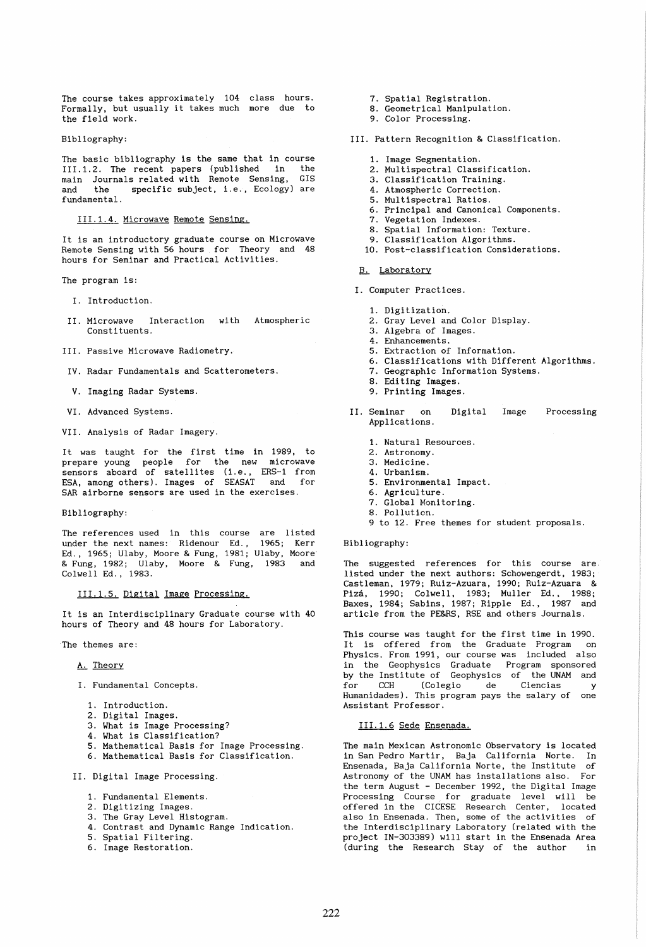The course takes approximately 104 class hours.<br>Formally, but usually it takes much more due to the field work. more due to

Bibliography:

The basic bibliography is the same that in course III.1.2. The recent papers (published in the main Journals related with Remote Sensing, GIS and the specific subject, i.e., Ecology) are fundamental.

111.1.4. Microwave Remote Sensing.

It is an introductory graduate course on Microwave Remote Sensing with 56 hours for Theory and 48 hours for Seminar and Practical Activities.

The program is:

- I. Introduction.
- II. Microwave Interaction with Atmospheric Consti tuents.
- III. Passive Microwave Radiometry.
- IV. Radar Fundamentals and Scatterometers.
- V. Imaging Radar Systems.
- VI. Advanced Systems.
- VII. Analysis of Radar Imagery.

It was taught for the first time in 1989, to prepare young people for the new microwave sensors aboard of satellites (Le., ERS-l from ESA, among others). Images of SEASAT and for SAR airborne sensors are used in the exercises.

Bibliography:

The references used in this course are listed under the next names: Ridenour Ed.. 1965; Kerr Ed., 1965; Ulaby, Moore & Fung, 1981; Ulaby, Moore & Fung, 1982; Ulaby, Moore & Fung, 1983 and Colwell Ed., 1983.

111.1.5. Digital Image Processing.

It is an Interdisciplinary Graduate course with 40 hours of Theory and 48 hours for Laboratory.

·The themes are:

A. Theory

- I. Fundamental Concepts.
	- 1. Introduction.
	- 2. Digital Images.
	- 3. What is Image Processing?
	- 4. What is Classification?
	- 5. Mathematical Basis for Image Processing.
	- 6. Mathematical Basis for Classification.
- II. Digital Image Processing.
	- 1. Fundamental Elements.
	- 2. Digitizing Images.
	- 3. The Gray Level Histogram.
	- 4. Contrast and Dynamic Range Indication.
	- 5. Spatial Filtering.
	- 6. Image Restoration.
- 7. Spatial Registration.
- 8. Geometrical Manipulation.
- 9. Color Processing.
- III. Pattern Recognition & Classification.
	- 1. Image Segmentation.
	- 2. Multispectral Classification.
	- 3. Classification Training.
	- 4. Atmospheric Correction.
	- 5. Multispectral Ratios.
	- 6. Principal and Canonical Components.
	- 7. Vegetation Indexes.
	- 8. Spatial Information: Texture.
	- 9. Classification Algorithms.
	- 10. Post-classification Considerations.

### B. Laboratory

- I. Computer Practices.
	- 1. Digitization.
	- 2. Gray Level and Color Display.
	- 3. Algebra of Images.
	- 4. Enhancements.
	- 5. Extraction of Information.
	- 6. Classifications with Different Algorithms.
	- 7. Geographic Information Systems.
	- 8. Editing Images.
	- 9. Printing Images.
- II. Seminar on Applications. Digi tal Image Processing
	- 1. Natural Resources.
	- 2. Astronomy.
	- 3. Medicine.
	- 4. Urbanism.
	- 5. Environmental Impact.
	- 6. Agriculture.
	- 7. Global Monitoring. 8. Pollution.
	- 9 to 12. Free themes for student proposals.

#### Bibliography:

The suggested references for this course are. listed under the next authors: Schowengerdt, 1983; Castleman, 1979; Ruiz-Azuara, 1990; Ruiz-Azuara & Piza, 1990; Colwell, 1983; Muller Ed., 1988; Baxes, 1984; Sabins, 1987; Ripple Ed., 1987 and article from the PE&RS, RSE and others Journals.

This course was taught for the first time in 1990. It is offered from the Graduate Program on Physics. From 1991, our course was included also in the Geophysics Graduate Program sponsored by the Institute of Geophysics of the UNAM and for CCH (Colegio de Ciencias y Humanidades). This program pays the salary of one Assistant Professor.

111.1.6 Sede Ensenada.

The main Mexican Astronomic Observatory is located in San Pedro Martir, Baja California Norte. In Ensenada, Baja California Norte, the Institute of Astronomy of the UNAM has installations also. For the term August - December 1992, the Digital Image Processing Course for graduate level will be offered in the CICESE Research Center, located also in Ensenada. Then, some of the activities of the Interdisciplinary Laboratory (related with the project IN-303389) will start in the Ensenada Area (during the Research Stay of the author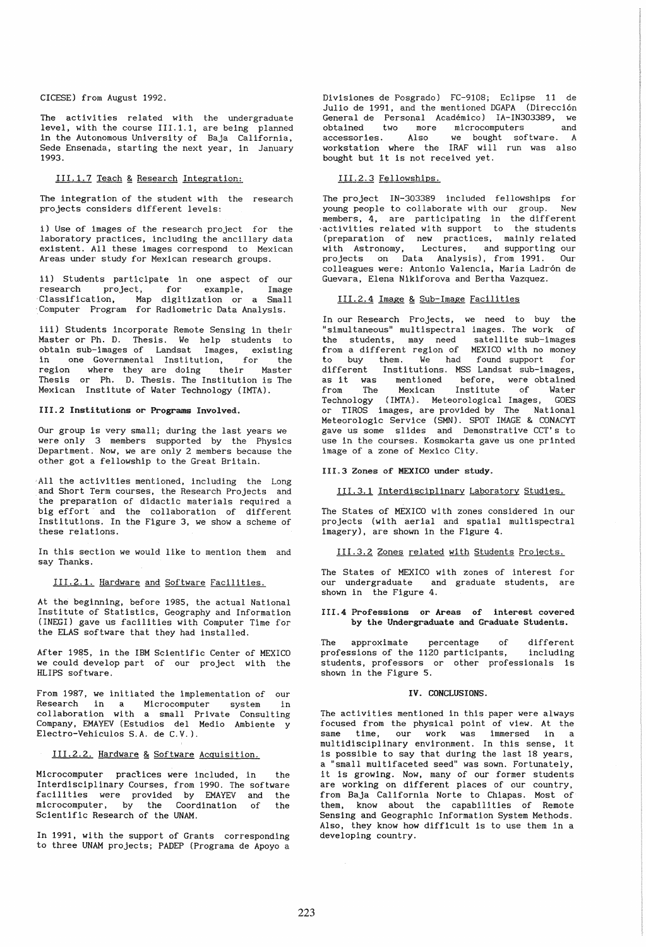CICESE) from August 1992.

The activities related with the undergraduate level, with the course III.1.1, are being planned in the Autonomous University of Baja California, Sede Ensenada, starting the next year, in January 1993.

### III.1.7 Teach & Research Integration:

The integration of the student with the research projects considers different levels:

i) Use of images of the research project for the laboratory practices, including the ancillary data existent. All these images correspond to Mexican Areas under study for Mexican research groups.

ii) Students participate in one aspect of our research project, for example, Image 'Classification, Map digitization or a Small 'Computer Program for Radiometric Data Analysis.

iii) Students incorporate Remote Sensing in their Master or Ph. D. Thesis. We help students to obtain sub-images of Landsat Images, existing in one Governmental Institution, for the region where they are doing their Master Thesis or Ph. D. Thesis. The Institution is The Mexican Institute of Water Technology (IMTA).

#### 111.2 Institutions or Programs Involved.

Our group is very small; during the last years we were only 3 members supported by the Physics Department. Now, we are only 2 members because the other got a fellowship to the Great Britain.

All the activities mentioned, including the Long and Short Term courses, the Research Projects and the preparation of didactic materials required a big effort and the collaboration of different Institutions. In the Figure 3, we show a scheme of these relations.

In this section we would like to mention them and say Thanks.

#### 111.2.1. Hardware and Software Facilities.

At the beginning, before 1985. the actual National Institute of Statistics, Geography and Information (INEGI) gave us facilities with Computer Time for the ELAS software that they had installed.

After 1985, in the IBM Scientific Center of MEXICO we could develop part of our project with the HLIPS software.

From 1987, we initiated the implementation of our Research in a Microcomputer system in collaboration with a small Private Consulting Company, EMAYEV (Estudios del Medio Ambiente y Electro-Vehiculos S.A. de C.V.).

#### III.2.2. Hardware & Software Acquisition.

Microcomputer practices were included, in the Interdisciplinary Courses, from 1990. The software facili ties were provided by EMAYEV and the microcomputer, by the Coordination of the Scientific Research of the UNAM.

In 1991, with the support of Grants corresponding to three UNAM projects; PADEP (Programa de Apoyo a

Divisiones de Posgrado) FC-9108; Eclipse 11 de Julio de 1991, and the mentioned DGAPA (Direccion General de Personal Académico) IA-IN303389, we<br>obtained two more microcomputers and obtained two more microcomputers<br>accessories. Also we bought sof we bought software. A workstation where the IRAF will run was also bought but it is not received yet.

### 111.2.3 Fellowships.

The project IN-303389 included fellowships for young people to collaborate with our group. New members, 4, are participating in the different activities related with support to the students (preparation of new practices, mainly related with Astronomy, Lectures, and supporting our projects on Data Analysis), from 1991. Our colleagues were: Antonio Valencia, María Ladrón de Guevara, Elena Nikiforova and Bertha Vazquez.

### III.2.4 Image & Sub-Image Facilities

In our Research Projects, we need to buy the "simultaneous" multispectral images. The work of<br>the students, may need, satellite sub-images the students, may need from a different region of MEXICO with no money to buy them. We had found support for different Institutions. MSS Landsat sub-images, as it was mentioned before, were obtained from The Mexican Institute of Water Technology (IMTA). Meteorological Images, GOES or TIROS images, are provided by The National Meteorologic Service (SMN). SPOT IMAGE & CONACYT gave us some slides and Demonstrative CCT's to use in the courses. Kosmokarta gave us one printed image of a zone of Mexico City.

#### 111.3 Zones of MEXICO under study.

#### 111.3.1 Interdisciplinary Laboratory Studies.

The States of MEXICO with zones considered in our projects (with aerial and spatial multispectral imagery), are shown in the Figure 4.

## 111.3.2 Zones related with Students Projects.

The States of MEXICO with zones of interest for our undergraduate and graduate students, are shown in the Figure 4.

### 111.4 Professions or Areas of interest covered by the Undergraduate and Graduate Students.

The approximate percentage of different professions of the 1120 participants, including .<br>students, professors or other professionals is shown in the Figure 5.

#### IV. CONCLUSIONS.

The activities mentioned in this paper were always focused from the physical point of view. At the same time, our work was immersed in a multidisciplinary environment. In this sense, it is possible to say that during the last 18 years, a "small multifaceted seed" was sown. Fortunately, it is growing. Now, many of our former students are working on different places of our country, from Baja California Norte to Chiapas. Most of them, know about the capabilities of Remote Sensing and Geographic Information System Methods. Also, they know how difficult is to use them in a developing country.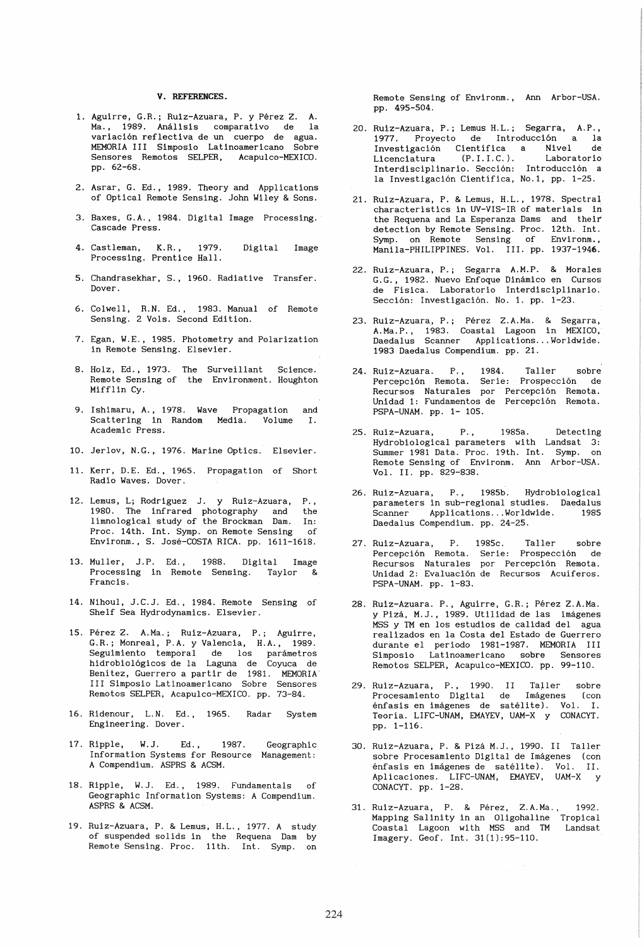### V. REFERENCES.

- 1. Aguirre, G.R.; Ruiz-Azuara, P. y Pérez Z. A. Ma., 1989. Análisis comparativo de la variacion reflectiva de un cuerpo de agua. MEMORIA III Simposio Latinoamericano Sobre Sensores Remotos SELPER, pp. 62-68.
- 2. Asrar, G. Ed., 1989. Theory and Applications of Optical Remote Sensing. John Wiley & Sons.
- 3. Baxes, G.A., 1984. Digital Image Processing. Cascade Press.
- 4. Castleman, K.R., 1979. Digital Image Processing. Prentice Hall.
- 5. Chandrasekhar, S., 1960. Radiative Transfer. Dover.
- 6. Colwell, R.N. Ed., 1983. Manual of Remote Sensing. 2 Vols. Second Edition.
- 7. Egan, W.E., 1985. Photometry and Polarization in Remote Sensing. Elsevier.
- 8. Holz, Ed., 1973. The Surveillant Science. Remote Sensing of the Environment. Houghton Mifflin Cy.
- 9. Ishimaru, A., 1978. Wave Propagation and<br>Scattering in Random Media. Volume I. Scattering in Random Media. Volume I. Academic Press.
- 10. Jerlov, N.G., 1976. Marine Optics. Elsevier.
- 11. Kerr, D.E. Ed., 1965. Propagation of Short Radio Waves. Dover.
- 12. Lemus, L; Rodriguez J. y Ruiz-Azuara, P., 1980. The infrared photography and the limnological study of the Brockman Dam. In: Proc. 14th. Int. Symp. on Remote Sensing of Environm., S. José-COSTA RICA. pp. 1611-1618.
- 13. Muller, J.P. Ed. , Processing in Remote Sensing. Taylor & 1988. Digital Image<br>te Sensing. Tavlor & Francis.
- 14. Nihoul, J.C.J. Ed., 1984. Remote Sensing of Shelf Sea Hydrodynamics. Elsevier.
- 15. Perez Z. A.Ma.; Ruiz-Azuara, P.; Aguirre, G.R.; Monreal, P.A. y Valencia, H.A., 1989. Seguimiento temporal de los parametros hidrobiologicos de la Laguna de Coyuca de Benitez, Guerrero a partir de 1981. MEMORIA' III Simposio Latinoamericano Sobre Sensores Remotos SELPER, Acapulco-MEXICO. pp. 73-84.
- 16. Ridenour, L.N. Ed., 1965. Radar System Engineering. Dover.
- 17. Ripple, W.J. Ed., 1987. Geographic Information Systems for Resource Management: A Compendium. ASPRS & ACSM.
- 18. Ripple, W.J. Ed., 1989. Fundamentals of Geographic Information Systems: A Compendium. ASPRS & ACSM.
- 19. Ruiz-Azuara, P. & Lemus, H.L., 1977. A study of suspended solids in the Requena Dam by Remote Sensing. Proc. 11th. Int. Symp. on

Remote Sensing of Environm., Ann Arbor-USA. pp. 495-504.

- 20. Ruiz-Azuara, P.; Lemus H.L.; Segarra, A.P., 1977. Proyecto de Introducción a la<br>Investigación Científica a Nivel de Investigación Científica a Nivel de<br>Licenciatura (P.I.I.C.). Laboratorio Licenciatura (P.I.I.C.). Laboratorio Interdisciplinario. Sección: Introducción a la Investigacion Cientifica, No.1, pp. 1-25.
- 21. Ruiz-Azuara, P. & Lemus, H.L., 1978. Spectral characteristics in UV-VIS-IR of materials in the Requena and La Esperanza Dams and their detection by Remote Sensing. Proc. 12th. Int. Symp. on Remote Sensing of Environm., Manila-PHILIPPINES. Vol. III. pp. 1937-1946.
- 22. Ruiz-Azuara, P.; Segarra A.M.P. & Morales G.G., 1982. Nuevo Enfoque Dinamico en Cursos de Fisica. Laboratorio Interdisciplinario. Sección: Investigación. No. 1. pp. 1-23.
- 23. Ruiz-Azuara, P.; Pérez Z.A.Ma. & Segarra, A.Ma.P., 1983. Coastal Lagoon in MEXICO, Daedalus Scanner Applications ... Worldwide. 1983 Daedalus Compendium. pp. 21.
- 24. Ruiz-Azuara. P., 1984. Taller sobre Percepcion Remota. Serie: Prospeccion de Recursos Naturales por Percepcion Remota. Unidad 1: Fundamentos de Percepcion Remota. PSPA-UNAM. pp. 1- 105.
- 25. Ruiz-Azuara, P., 1985a. Detecting Hydrobiological parameters with Landsat 3: Summer 1981 Data. Proc. 19th. Int. Symp. on Remote Sensing of Environm. Ann Arbor-USA. Vol. II. pp. 829-838.
- 26. Ruiz-Azuara, P., 1985b. Hydrobiological parameters in sub-regional studies. Daedalus Scanner Applications... Worldwide. 1985 Daedalus Compendium. pp. 24-25.
- 27. Ruiz-Azuara, P. Percepción Remota. Recursos Naturales por Percepcion Remota. Unidad 2: Evaluación de Recursos Acuíferos. PSPA-UNAM. pp. 1-83. 1985c. Taller sobre Serie: Prospección de
- 28. Ruiz-Azuara. P., Aguirre, G.R.; Pérez Z.A.Ma. y Pizá, M.J., 1989. Utilidad de las imágenes MSS y TM en los estudios de calidad del agua realizados en la Costa del Estado de Guerrero durante el periodo 1981-1987. MEMORIA III Simposio Latinoamericano sobre Sensores Simposio Latinoamericano sobre Sensores<br>Remotos SELPER, Acapulco-MEXICO. pp. 99-110.
- 29. Ruiz-Azuara, P., 1990. II Taller sobre Procesamiento Digital de Imágenes (con enfasis en imagenes de satelite). Vol. I. Teoría. LIFC-UNAM, EMAYEV, UAM-X y CONACYT. pp. 1-116.
- 30. Ruiz-Azuara, P. & Pizá M.J., 1990. II Taller sobre Procesamiento Digital de Imágenes (con énfasis en imágenes de satélite). Vol. II. Aplicaciones. LIFC-UNAM, EMAYEV, UAM-X Y CONACYT. pp. 1-28.
- 31. Ruiz-Azuara, P. & Perez, Z.A.Ma.. 1992. Mapping Salinity in an Oligohaline Tropical Coastal Lagoon with MSS and TM Landsat Imagery. Geof. Int. 31(1):95-110.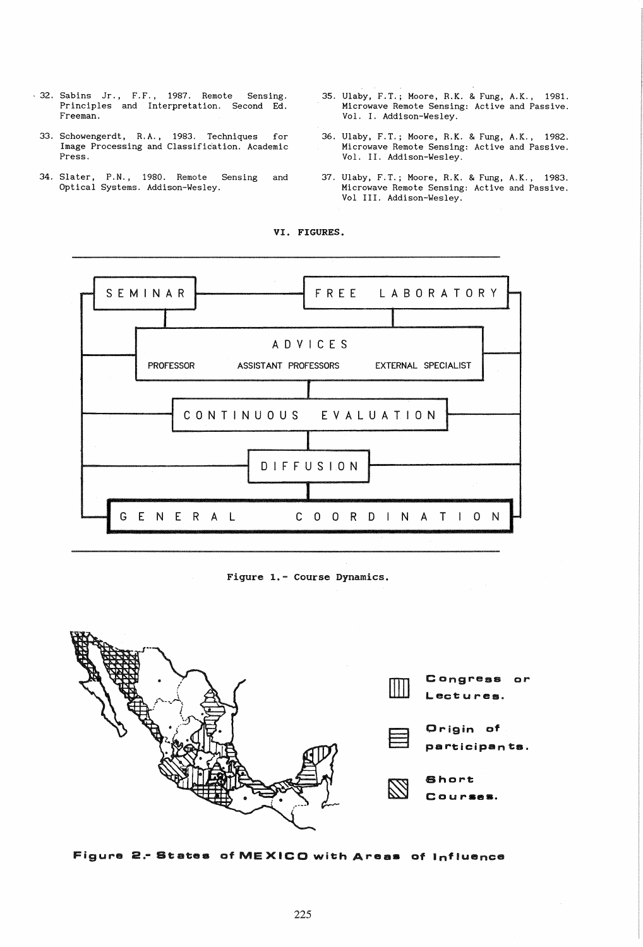- 32. Sabins Jr., F.F., 1987. Remote Sensing.<br>Principles and Interpretation. Second Ed. Freeman.
	- 33. Schowengerdt, R.A., 1983. Techniques for Image Processing and Classification. Academic Press.
	- 34. Slater, P.N., 1980. Remote Sensing<br>Optical Systems. Addison-Wesley. and
- 35. Ulaby, F.T.; Moore, R.K. & Fung, A.K., 1981. Microwave Remote Sensing: Active and Passive. Vol. I. Addison-Wesley.
- 36. Ulaby, F.T.; Moore, R.K. & Fung, A.K., 1982. Microwave Remote Sensing: Active and Passive. Vol. II. Addison-Wesley.
- 37. Ulaby, F.T.; Moore, R.K. & Fung, A.K., 1983.<br>Microwave Remote Sensing: Active and Passive. Vol III. Addison-Wesley.



VI. FIGURES.

Figure 1.- Course Dynamics.



Figure 2. States of MEXICO with Areas of Influence